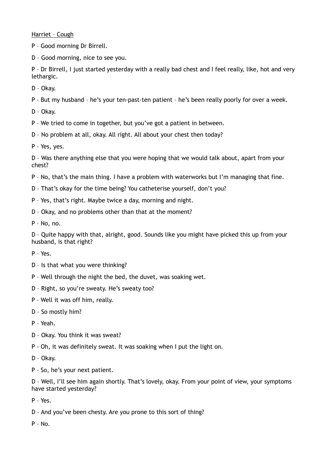Harriet – Cough

P – Good morning Dr Birrell.

D – Good morning, nice to see you.

P – Dr Birrell, I just started yesterday with a really bad chest and I feel really, like, hot and very lethargic.

D – Okay.

P – But my husband – he's your ten-past-ten patient – he's been really poorly for over a week.

D – Okay.

P – We tried to come in together, but you've got a patient in between.

D – No problem at all, okay. All right. All about your chest then today?

P – Yes, yes.

D – Was there anything else that you were hoping that we would talk about, apart from your chest?

P – No, that's the main thing. I have a problem with waterworks but I'm managing that fine.

D – That's okay for the time being? You catheterise yourself, don't you?

P – Yes, that's right. Maybe twice a day, morning and night.

D – Okay, and no problems other than that at the moment?

P – No, no.

D – Quite happy with that, alright, good. Sounds like you might have picked this up from your husband, is that right?

P – Yes.

D – Is that what you were thinking?

P – Well through the night the bed, the duvet, was soaking wet.

D – Right, so you're sweaty. He's sweaty too?

P – Well it was off him, really.

D – So mostly him?

P – Yeah.

D – Okay. You think it was sweat?

P - Oh, it was definitely sweat. It was soaking when I put the light on.

D – Okay.

P – So, he's your next patient.

D – Well, I'll see him again shortly. That's lovely, okay. From your point of view, your symptoms have started yesterday?

P – Yes.

D – And you've been chesty. Are you prone to this sort of thing?

 $P - N_0$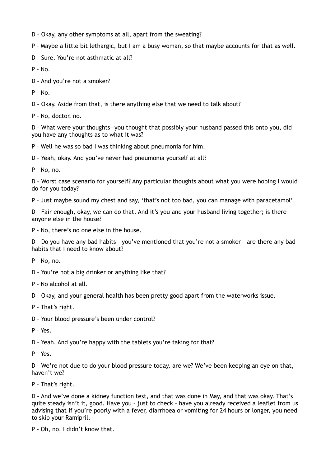- D Okay, any other symptoms at all, apart from the sweating?
- P Maybe a little bit lethargic, but I am a busy woman, so that maybe accounts for that as well.

D – Sure. You're not asthmatic at all?

 $P - No.$ 

D – And you're not a smoker?

P – No.

D – Okay. Aside from that, is there anything else that we need to talk about?

P – No, doctor, no.

D – What were your thoughts—you thought that possibly your husband passed this onto you, did you have any thoughts as to what it was?

P – Well he was so bad I was thinking about pneumonia for him.

D – Yeah, okay. And you've never had pneumonia yourself at all?

P – No, no.

D – Worst case scenario for yourself? Any particular thoughts about what you were hoping I would do for you today?

P – Just maybe sound my chest and say, 'that's not too bad, you can manage with paracetamol'.

D – Fair enough, okay, we can do that. And it's you and your husband living together; is there anyone else in the house?

P – No, there's no one else in the house.

D – Do you have any bad habits – you've mentioned that you're not a smoker – are there any bad habits that I need to know about?

P – No, no.

D – You're not a big drinker or anything like that?

P – No alcohol at all.

D – Okay, and your general health has been pretty good apart from the waterworks issue.

P – That's right.

D – Your blood pressure's been under control?

P – Yes.

D – Yeah. And you're happy with the tablets you're taking for that?

P – Yes.

D – We're not due to do your blood pressure today, are we? We've been keeping an eye on that, haven't we?

P – That's right.

D – And we've done a kidney function test, and that was done in May, and that was okay. That's quite steady isn't it, good. Have you – just to check – have you already received a leaflet from us advising that if you're poorly with a fever, diarrhoea or vomiting for 24 hours or longer, you need to skip your Ramipril.

P – Oh, no, I didn't know that.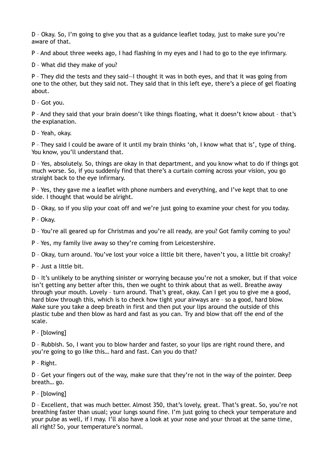D – Okay. So, I'm going to give you that as a guidance leaflet today, just to make sure you're aware of that.

P – And about three weeks ago, I had flashing in my eyes and I had to go to the eye infirmary.

D – What did they make of you?

P – They did the tests and they said—I thought it was in both eyes, and that it was going from one to the other, but they said not. They said that in this left eye, there's a piece of gel floating about.

D – Got you.

P – And they said that your brain doesn't like things floating, what it doesn't know about – that's the explanation.

D – Yeah, okay.

P – They said I could be aware of it until my brain thinks 'oh, I know what that is', type of thing. You know, you'll understand that.

D – Yes, absolutely. So, things are okay in that department, and you know what to do if things got much worse. So, if you suddenly find that there's a curtain coming across your vision, you go straight back to the eye infirmary.

P – Yes, they gave me a leaflet with phone numbers and everything, and I've kept that to one side. I thought that would be alright.

D – Okay, so if you slip your coat off and we're just going to examine your chest for you today.

P – Okay.

D – You're all geared up for Christmas and you're all ready, are you? Got family coming to you?

P – Yes, my family live away so they're coming from Leicestershire.

D – Okay, turn around. You've lost your voice a little bit there, haven't you, a little bit croaky?

P – Just a little bit.

D – It's unlikely to be anything sinister or worrying because you're not a smoker, but if that voice isn't getting any better after this, then we ought to think about that as well. Breathe away through your mouth. Lovely – turn around. That's great, okay. Can I get you to give me a good, hard blow through this, which is to check how tight your airways are – so a good, hard blow. Make sure you take a deep breath in first and then put your lips around the outside of this plastic tube and then blow as hard and fast as you can. Try and blow that off the end of the scale.

P – [blowing]

D – Rubbish. So, I want you to blow harder and faster, so your lips are right round there, and you're going to go like this… hard and fast. Can you do that?

P – Right.

D – Get your fingers out of the way, make sure that they're not in the way of the pointer. Deep breath… go.

P – [blowing]

D – Excellent, that was much better. Almost 350, that's lovely, great. That's great. So, you're not breathing faster than usual; your lungs sound fine. I'm just going to check your temperature and your pulse as well, if I may. I'll also have a look at your nose and your throat at the same time, all right? So, your temperature's normal.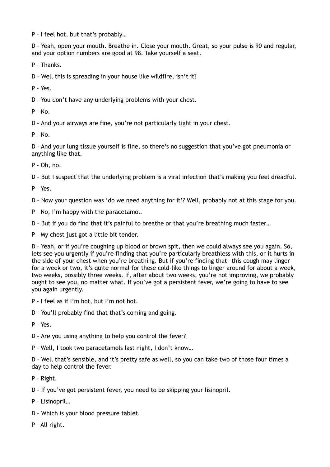P – I feel hot, but that's probably…

D – Yeah, open your mouth. Breathe in. Close your mouth. Great, so your pulse is 90 and regular, and your option numbers are good at 98. Take yourself a seat.

P – Thanks.

D – Well this is spreading in your house like wildfire, isn't it?

 $P - Y_{PS}$ 

D – You don't have any underlying problems with your chest.

 $P - N_0$ 

D – And your airways are fine, you're not particularly tight in your chest.

 $P - N_0$ 

D – And your lung tissue yourself is fine, so there's no suggestion that you've got pneumonia or anything like that.

P – Oh, no.

D – But I suspect that the underlying problem is a viral infection that's making you feel dreadful.

P – Yes.

D – Now your question was 'do we need anything for it'? Well, probably not at this stage for you.

P – No, I'm happy with the paracetamol.

D – But if you do find that it's painful to breathe or that you're breathing much faster…

P – My chest just got a little bit tender.

D – Yeah, or if you're coughing up blood or brown spit, then we could always see you again. So, lets see you urgently if you're finding that you're particularly breathless with this, or it hurts in the side of your chest when you're breathing. But if you're finding that—this cough may linger for a week or two, it's quite normal for these cold-like things to linger around for about a week, two weeks, possibly three weeks. If, after about two weeks, you're not improving, we probably ought to see you, no matter what. If you've got a persistent fever, we're going to have to see you again urgently.

P – I feel as if I'm hot, but I'm not hot.

D – You'll probably find that that's coming and going.

P – Yes.

D – Are you using anything to help you control the fever?

P – Well, I took two paracetamols last night, I don't know…

D – Well that's sensible, and it's pretty safe as well, so you can take two of those four times a day to help control the fever.

P – Right.

D – If you've got persistent fever, you need to be skipping your lisinopril.

P – Lisinopril…

D – Which is your blood pressure tablet.

P – All right.